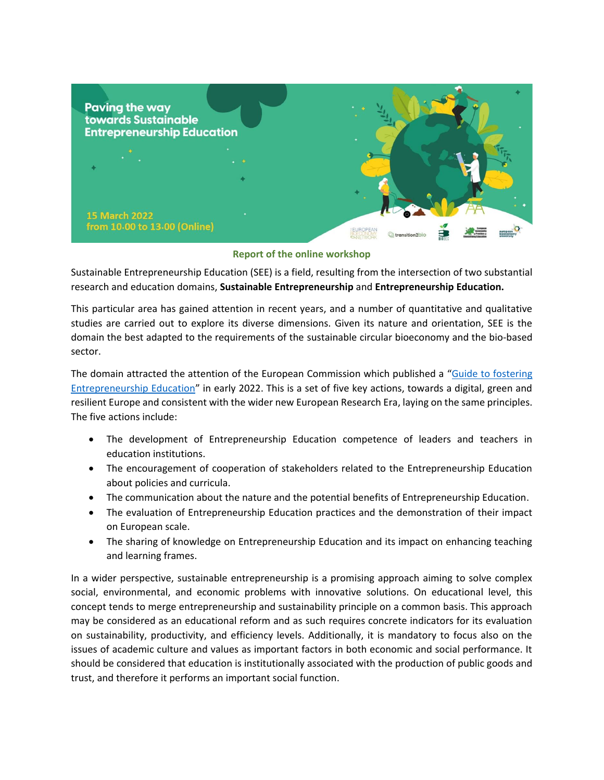

## **Report of the online workshop**

Sustainable Entrepreneurship Education (SEE) is a field, resulting from the intersection of two substantial research and education domains, **Sustainable Entrepreneurship** and **Entrepreneurship Education.** 

This particular area has gained attention in recent years, and a number of quantitative and qualitative studies are carried out to explore its diverse dimensions. Given its nature and orientation, SEE is the domain the best adapted to the requirements of the sustainable circular bioeconomy and the bio-based sector.

The domain attracted the attention of the European Commission which published a "Guide to fostering [Entrepreneurship Education](https://op.europa.eu/en/publication-detail/-/publication/734447fa-58a7-11ec-91ac-01aa75ed71a1/language-en/format-PDF/source-246062167)" in early 2022. This is a set of five key actions, towards a digital, green and resilient Europe and consistent with the wider new European Research Era, laying on the same principles. The five actions include:

- The development of Entrepreneurship Education competence of leaders and teachers in education institutions.
- The encouragement of cooperation of stakeholders related to the Entrepreneurship Education about policies and curricula.
- The communication about the nature and the potential benefits of Entrepreneurship Education.
- The evaluation of Entrepreneurship Education practices and the demonstration of their impact on European scale.
- The sharing of knowledge on Entrepreneurship Education and its impact on enhancing teaching and learning frames.

In a wider perspective, sustainable entrepreneurship is a promising approach aiming to solve complex social, environmental, and economic problems with innovative solutions. On educational level, this concept tends to merge entrepreneurship and sustainability principle on a common basis. This approach may be considered as an educational reform and as such requires concrete indicators for its evaluation on sustainability, productivity, and efficiency levels. Additionally, it is mandatory to focus also on the issues of academic culture and values as important factors in both economic and social performance. It should be considered that education is institutionally associated with the production of public goods and trust, and therefore it performs an important social function.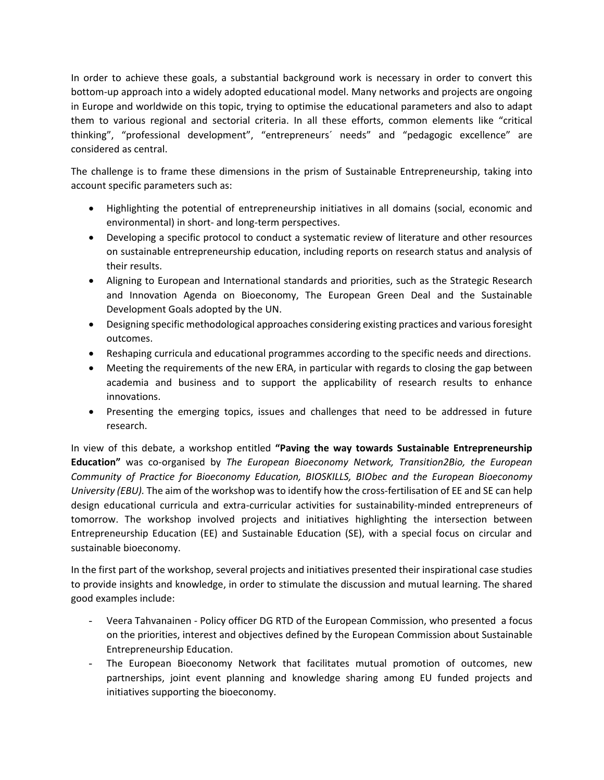In order to achieve these goals, a substantial background work is necessary in order to convert this bottom-up approach into a widely adopted educational model. Many networks and projects are ongoing in Europe and worldwide on this topic, trying to optimise the educational parameters and also to adapt them to various regional and sectorial criteria. In all these efforts, common elements like "critical thinking", "professional development", "entrepreneurs´ needs" and "pedagogic excellence" are considered as central.

The challenge is to frame these dimensions in the prism of Sustainable Entrepreneurship, taking into account specific parameters such as:

- Highlighting the potential of entrepreneurship initiatives in all domains (social, economic and environmental) in short- and long-term perspectives.
- Developing a specific protocol to conduct a systematic review of literature and other resources on sustainable entrepreneurship education, including reports on research status and analysis of their results.
- Aligning to European and International standards and priorities, such as the Strategic Research and Innovation Agenda on Bioeconomy, The European Green Deal and the Sustainable Development Goals adopted by the UN.
- Designing specific methodological approaches considering existing practices and various foresight outcomes.
- Reshaping curricula and educational programmes according to the specific needs and directions.
- Meeting the requirements of the new ERA, in particular with regards to closing the gap between academia and business and to support the applicability of research results to enhance innovations.
- Presenting the emerging topics, issues and challenges that need to be addressed in future research.

In view of this debate, a workshop entitled **"Paving the way towards Sustainable Entrepreneurship Education"** was co-organised by *The European Bioeconomy Network, Transition2Bio, the European Community of Practice for Bioeconomy Education, BIOSKILLS, BIObec and the European Bioeconomy University (EBU).* The aim of the workshop was to identify how the cross-fertilisation of EE and SE can help design educational curricula and extra-curricular activities for sustainability-minded entrepreneurs of tomorrow. The workshop involved projects and initiatives highlighting the intersection between Entrepreneurship Education (EE) and Sustainable Education (SE), with a special focus on circular and sustainable bioeconomy.

In the first part of the workshop, several projects and initiatives presented their inspirational case studies to provide insights and knowledge, in order to stimulate the discussion and mutual learning. The shared good examples include:

- Veera Tahvanainen Policy officer DG RTD of the European Commission, who presented a focus on the priorities, interest and objectives defined by the European Commission about Sustainable Entrepreneurship Education.
- The European Bioeconomy Network that facilitates mutual promotion of outcomes, new partnerships, joint event planning and knowledge sharing among EU funded projects and initiatives supporting the bioeconomy.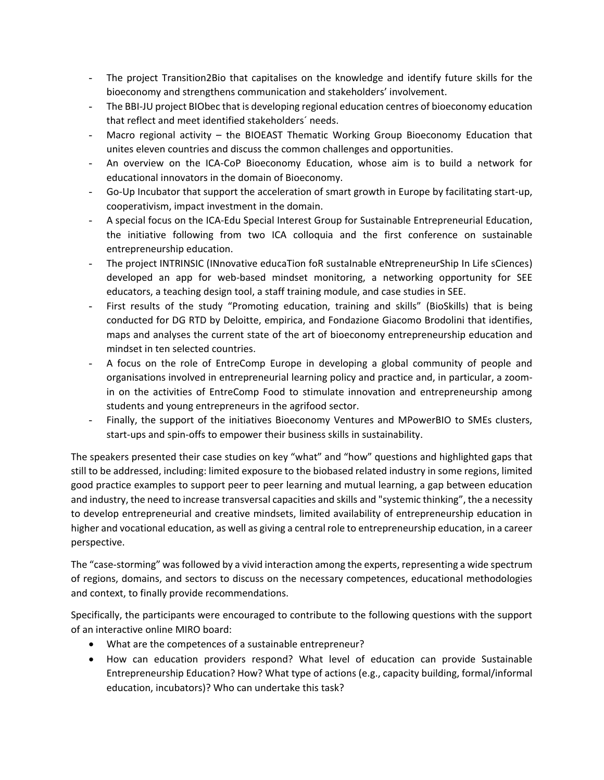- The project Transition2Bio that capitalises on the knowledge and identify future skills for the bioeconomy and strengthens communication and stakeholders' involvement.
- The BBI-JU project BIObec that is developing regional education centres of bioeconomy education that reflect and meet identified stakeholders´ needs.
- Macro regional activity  $-$  the BIOEAST Thematic Working Group Bioeconomy Education that unites eleven countries and discuss the common challenges and opportunities.
- An overview on the ICA-CoP Bioeconomy Education, whose aim is to build a network for educational innovators in the domain of Bioeconomy.
- Go-Up Incubator that support the acceleration of smart growth in Europe by facilitating start-up, cooperativism, impact investment in the domain.
- A special focus on the ICA-Edu Special Interest Group for Sustainable Entrepreneurial Education, the initiative following from two ICA colloquia and the first conference on sustainable entrepreneurship education.
- The project INTRINSIC (INnovative educaTion foR sustaInable eNtrepreneurShip In Life sCiences) developed an app for web-based mindset monitoring, a networking opportunity for SEE educators, a teaching design tool, a staff training module, and case studies in SEE.
- First results of the study "Promoting education, training and skills" (BioSkills) that is being conducted for DG RTD by Deloitte, empirica, and Fondazione Giacomo Brodolini that identifies, maps and analyses the current state of the art of bioeconomy entrepreneurship education and mindset in ten selected countries.
- A focus on the role of EntreComp Europe in developing a global community of people and organisations involved in entrepreneurial learning policy and practice and, in particular, a zoomin on the activities of EntreComp Food to stimulate innovation and entrepreneurship among students and young entrepreneurs in the agrifood sector.
- Finally, the support of the initiatives Bioeconomy Ventures and MPowerBIO to SMEs clusters, start-ups and spin-offs to empower their business skills in sustainability.

The speakers presented their case studies on key "what" and "how" questions and highlighted gaps that still to be addressed, including: limited exposure to the biobased related industry in some regions, limited good practice examples to support peer to peer learning and mutual learning, a gap between education and industry, the need to increase transversal capacities and skills and "systemic thinking", the a necessity to develop entrepreneurial and creative mindsets, limited availability of entrepreneurship education in higher and vocational education, as well as giving a central role to entrepreneurship education, in a career perspective.

The "case-storming" was followed by a vivid interaction among the experts, representing a wide spectrum of regions, domains, and sectors to discuss on the necessary competences, educational methodologies and context, to finally provide recommendations.

Specifically, the participants were encouraged to contribute to the following questions with the support of an interactive online MIRO board:

- What are the competences of a sustainable entrepreneur?
- How can education providers respond? What level of education can provide Sustainable Entrepreneurship Education? How? What type of actions (e.g., capacity building, formal/informal education, incubators)? Who can undertake this task?